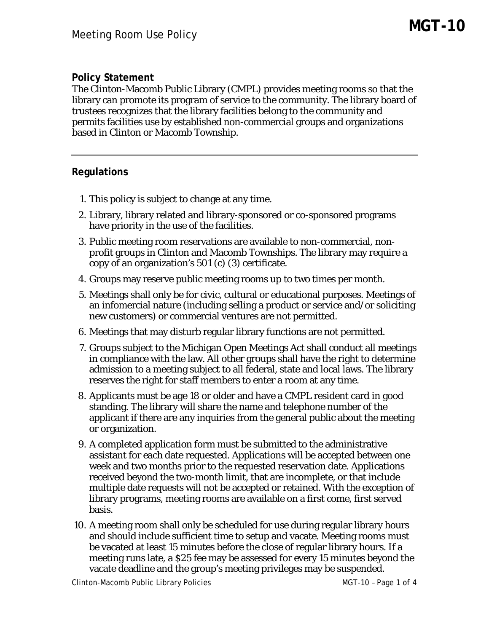## **Policy Statement**

The Clinton-Macomb Public Library (CMPL) provides meeting rooms so that the library can promote its program of service to the community. The library board of trustees recognizes that the library facilities belong to the community and permits facilities use by established non-commercial groups and organizations based in Clinton or Macomb Township.

## **Regulations**

- 1. This policy is subject to change at any time.
- 2. Library, library related and library-sponsored or co-sponsored programs have priority in the use of the facilities.
- 3. Public meeting room reservations are available to non-commercial, nonprofit groups in Clinton and Macomb Townships. The library may require a copy of an organization's 501 (c) (3) certificate.
- 4. Groups may reserve public meeting rooms up to two times per month.
- 5. Meetings shall only be for civic, cultural or educational purposes. Meetings of an infomercial nature (including selling a product or service and/or soliciting new customers) or commercial ventures are not permitted.
- 6. Meetings that may disturb regular library functions are not permitted.
- 7. Groups subject to the Michigan Open Meetings Act shall conduct all meetings in compliance with the law. All other groups shall have the right to determine admission to a meeting subject to all federal, state and local laws. The library reserves the right for staff members to enter a room at any time.
- 8. Applicants must be age 18 or older and have a CMPL resident card in good standing. The library will share the name and telephone number of the applicant if there are any inquiries from the general public about the meeting or organization.
- 9. A completed application form must be submitted to the administrative assistant for each date requested. Applications will be accepted between one week and two months prior to the requested reservation date. Applications received beyond the two-month limit, that are incomplete, or that include multiple date requests will not be accepted or retained. With the exception of library programs, meeting rooms are available on a first come, first served basis.
- 10. A meeting room shall only be scheduled for use during regular library hours and should include sufficient time to setup and vacate. Meeting rooms must be vacated at least 15 minutes before the close of regular library hours. If a meeting runs late, a \$25 fee may be assessed for every 15 minutes beyond the vacate deadline and the group's meeting privileges may be suspended.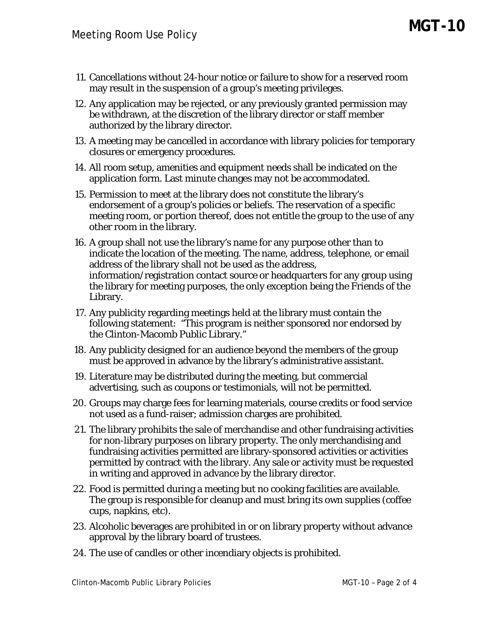- 11. Cancellations without 24-hour notice or failure to show for a reserved room may result in the suspension of a group's meeting privileges.
- 12. Any application may be rejected, or any previously granted permission may be withdrawn, at the discretion of the library director or staff member authorized by the library director.
- 13. A meeting may be cancelled in accordance with library policies for temporary closures or emergency procedures.
- 14. All room setup, amenities and equipment needs shall be indicated on the application form. Last minute changes may not be accommodated.
- 15. Permission to meet at the library does not constitute the library's endorsement of a group's policies or beliefs. The reservation of a specific meeting room, or portion thereof, does not entitle the group to the use of any other room in the library.
- 16. A group shall not use the library's name for any purpose other than to indicate the location of the meeting. The name, address, telephone, or email address of the library shall not be used as the address, information/registration contact source or headquarters for any group using the library for meeting purposes, the only exception being the Friends of the Library.
- 17. Any publicity regarding meetings held at the library must contain the following statement: "This program is neither sponsored nor endorsed by the Clinton-Macomb Public Library."
- 18. Any publicity designed for an audience beyond the members of the group must be approved in advance by the library's administrative assistant.
- 19. Literature may be distributed during the meeting, but commercial advertising, such as coupons or testimonials, will not be permitted.
- 20. Groups may charge fees for learning materials, course credits or food service not used as a fund-raiser; admission charges are prohibited.
- 21. The library prohibits the sale of merchandise and other fundraising activities for non-library purposes on library property. The only merchandising and fundraising activities permitted are library-sponsored activities or activities permitted by contract with the library. Any sale or activity must be requested in writing and approved in advance by the library director.
- 22. Food is permitted during a meeting but no cooking facilities are available. The group is responsible for cleanup and must bring its own supplies (coffee cups, napkins, etc).
- 23. Alcoholic beverages are prohibited in or on library property without advance approval by the library board of trustees.
- 24. The use of candles or other incendiary objects is prohibited.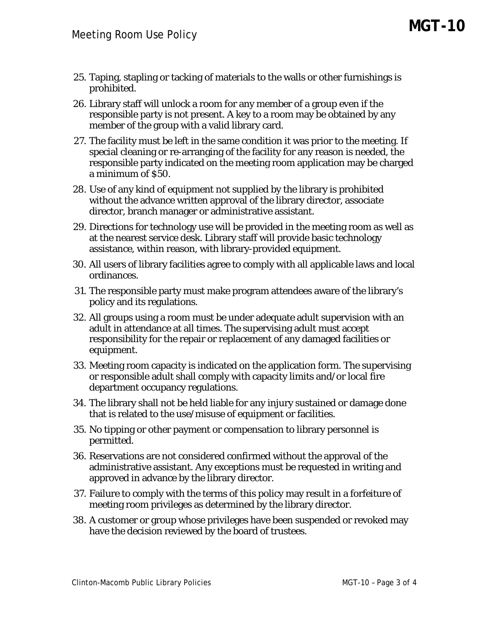- 25. Taping, stapling or tacking of materials to the walls or other furnishings is prohibited.
- 26. Library staff will unlock a room for any member of a group even if the responsible party is not present. A key to a room may be obtained by any member of the group with a valid library card.
- 27. The facility must be left in the same condition it was prior to the meeting. If special cleaning or re-arranging of the facility for any reason is needed, the responsible party indicated on the meeting room application may be charged a minimum of \$50.
- 28. Use of any kind of equipment not supplied by the library is prohibited without the advance written approval of the library director, associate director, branch manager or administrative assistant.
- 29. Directions for technology use will be provided in the meeting room as well as at the nearest service desk. Library staff will provide basic technology assistance, within reason, with library-provided equipment.
- 30. All users of library facilities agree to comply with all applicable laws and local ordinances.
- 31. The responsible party must make program attendees aware of the library's policy and its regulations.
- 32. All groups using a room must be under adequate adult supervision with an adult in attendance at all times. The supervising adult must accept responsibility for the repair or replacement of any damaged facilities or equipment.
- 33. Meeting room capacity is indicated on the application form. The supervising or responsible adult shall comply with capacity limits and/or local fire department occupancy regulations.
- 34. The library shall not be held liable for any injury sustained or damage done that is related to the use/misuse of equipment or facilities.
- 35. No tipping or other payment or compensation to library personnel is permitted.
- 36. Reservations are not considered confirmed without the approval of the administrative assistant. Any exceptions must be requested in writing and approved in advance by the library director.
- 37. Failure to comply with the terms of this policy may result in a forfeiture of meeting room privileges as determined by the library director.
- 38. A customer or group whose privileges have been suspended or revoked may have the decision reviewed by the board of trustees.